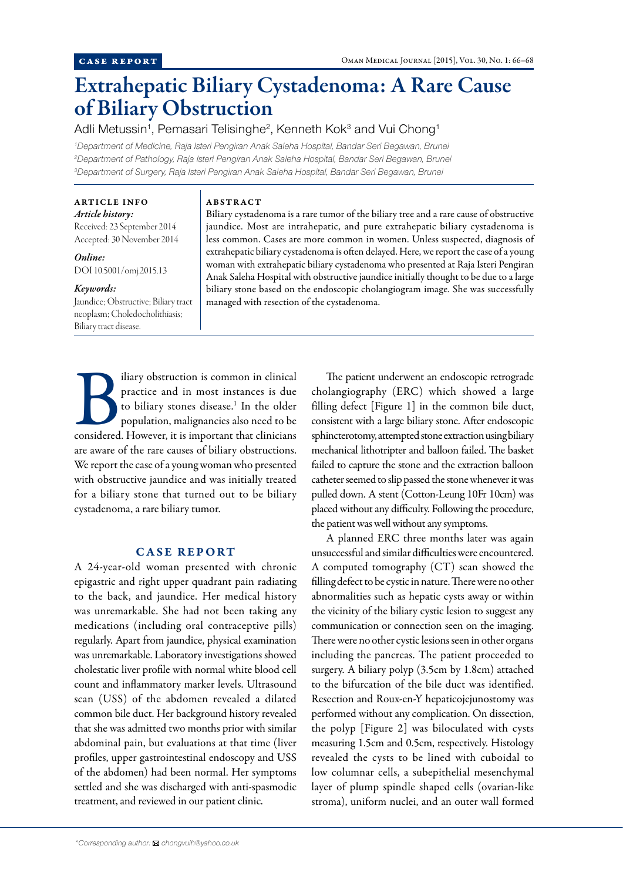# Extrahepatic Biliary Cystadenoma: A Rare Cause of Biliary Obstruction

Adli Metussin<sup>1</sup>, Pemasari Telisinghe<sup>2</sup>, Kenneth Kok<sup>3</sup> and Vui Chong<sup>1</sup>

*1 Department of Medicine, Raja Isteri Pengiran Anak Saleha Hospital, Bandar Seri Begawan, Brunei 2 Department of Pathology, Raja Isteri Pengiran Anak Saleha Hospital, Bandar Seri Begawan, Brunei 3 Department of Surgery, Raja Isteri Pengiran Anak Saleha Hospital, Bandar Seri Begawan, Brunei*

#### ARTICLE INFO *Article history:*

Received: 23 September 2014 Accepted: 30 November 2014

*Online:* DOI 10.5001/omj.2015.13

## *Keywords:*

Jaundice; Obstructive; Biliary tract neoplasm; Choledocholithiasis; Biliary tract disease.

#### ABSTRACT

Biliary cystadenoma is a rare tumor of the biliary tree and a rare cause of obstructive jaundice. Most are intrahepatic, and pure extrahepatic biliary cystadenoma is less common. Cases are more common in women. Unless suspected, diagnosis of extrahepatic biliary cystadenoma is often delayed. Here, we report the case of a young woman with extrahepatic biliary cystadenoma who presented at Raja Isteri Pengiran Anak Saleha Hospital with obstructive jaundice initially thought to be due to a large biliary stone based on the endoscopic cholangiogram image. She was successfully managed with resection of the cystadenoma.

Biliary obstruction is common in clinical<br>
practice and in most instances is due<br>
to biliary stones disease.<sup>1</sup> In the older<br>
population, malignancies also need to be<br>
considered. However, it is important that clinicians practice and in most instances is due to biliary stones disease.<sup>1</sup> In the older population, malignancies also need to be are aware of the rare causes of biliary obstructions. We report the case of a young woman who presented with obstructive jaundice and was initially treated for a biliary stone that turned out to be biliary cystadenoma, a rare biliary tumor.

## CASE REPORT

A 24-year-old woman presented with chronic epigastric and right upper quadrant pain radiating to the back, and jaundice. Her medical history was unremarkable. She had not been taking any medications (including oral contraceptive pills) regularly. Apart from jaundice, physical examination was unremarkable. Laboratory investigations showed cholestatic liver profile with normal white blood cell count and inflammatory marker levels. Ultrasound scan (USS) of the abdomen revealed a dilated common bile duct. Her background history revealed that she was admitted two months prior with similar abdominal pain, but evaluations at that time (liver profiles, upper gastrointestinal endoscopy and USS of the abdomen) had been normal. Her symptoms settled and she was discharged with anti-spasmodic treatment, and reviewed in our patient clinic.

The patient underwent an endoscopic retrograde cholangiography (ERC) which showed a large filling defect [Figure 1] in the common bile duct, consistent with a large biliary stone. After endoscopic sphincterotomy, attempted stone extraction using biliary mechanical lithotripter and balloon failed. The basket failed to capture the stone and the extraction balloon catheter seemed to slip passed the stone whenever it was pulled down. A stent (Cotton-Leung 10Fr 10cm) was placed without any difficulty. Following the procedure, the patient was well without any symptoms.

A planned ERC three months later was again unsuccessful and similar difficulties were encountered. A computed tomography (CT) scan showed the filling defect to be cystic in nature. There were no other abnormalities such as hepatic cysts away or within the vicinity of the biliary cystic lesion to suggest any communication or connection seen on the imaging. There were no other cystic lesions seen in other organs including the pancreas. The patient proceeded to surgery. A biliary polyp (3.5cm by 1.8cm) attached to the bifurcation of the bile duct was identified. Resection and Roux-en-Y hepaticojejunostomy was performed without any complication. On dissection, the polyp [Figure 2] was biloculated with cysts measuring 1.5cm and 0.5cm, respectively. Histology revealed the cysts to be lined with cuboidal to low columnar cells, a subepithelial mesenchymal layer of plump spindle shaped cells (ovarian-like stroma), uniform nuclei, and an outer wall formed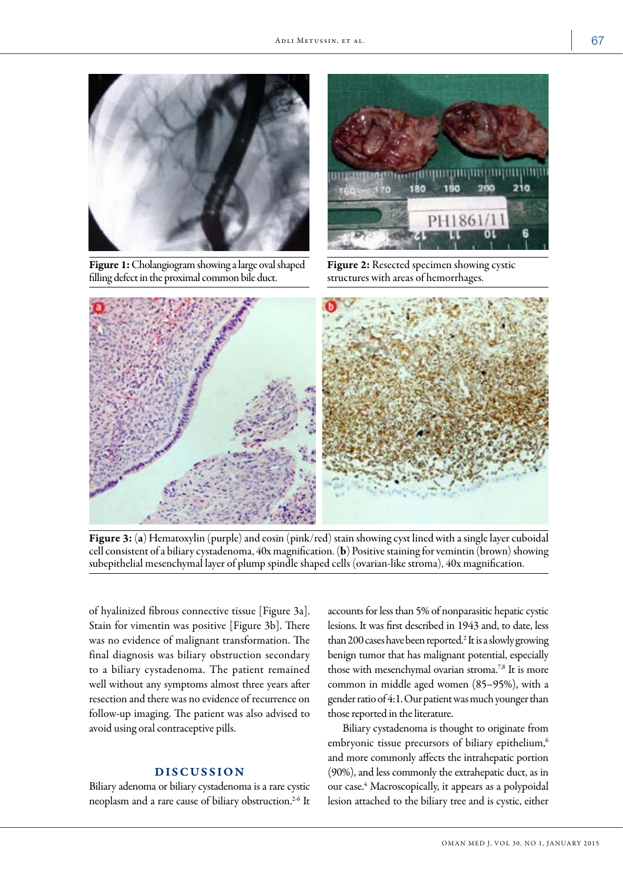

Figure 1: Cholangiogram showing a large oval shaped filling defect in the proximal common bile duct.



Figure 2: Resected specimen showing cystic structures with areas of hemorrhages.



Figure 3: (a) Hematoxylin (purple) and eosin (pink/red) stain showing cyst lined with a single layer cuboidal cell consistent of a biliary cystadenoma, 40x magnification. (b) Positive staining for vemintin (brown) showing subepithelial mesenchymal layer of plump spindle shaped cells (ovarian-like stroma), 40x magnification.

of hyalinized fibrous connective tissue [Figure 3a]. Stain for vimentin was positive [Figure 3b]. There was no evidence of malignant transformation. The final diagnosis was biliary obstruction secondary to a biliary cystadenoma. The patient remained well without any symptoms almost three years after resection and there was no evidence of recurrence on follow-up imaging. The patient was also advised to avoid using oral contraceptive pills.

## DISCUSSION

Biliary adenoma or biliary cystadenoma is a rare cystic neoplasm and a rare cause of biliary obstruction.<sup>2-6</sup> It

accounts for less than 5% of nonparasitic hepatic cystic lesions. It was first described in 1943 and, to date, less than 200 cases have been reported.2 It is a slowly growing benign tumor that has malignant potential, especially those with mesenchymal ovarian stroma.7,8 It is more common in middle aged women (85–95%), with a gender ratio of 4:1. Our patient was much younger than those reported in the literature.

Biliary cystadenoma is thought to originate from embryonic tissue precursors of biliary epithelium,<sup>6</sup> and more commonly affects the intrahepatic portion (90%), and less commonly the extrahepatic duct, as in our case.<sup>4</sup> Macroscopically, it appears as a polypoidal lesion attached to the biliary tree and is cystic, either